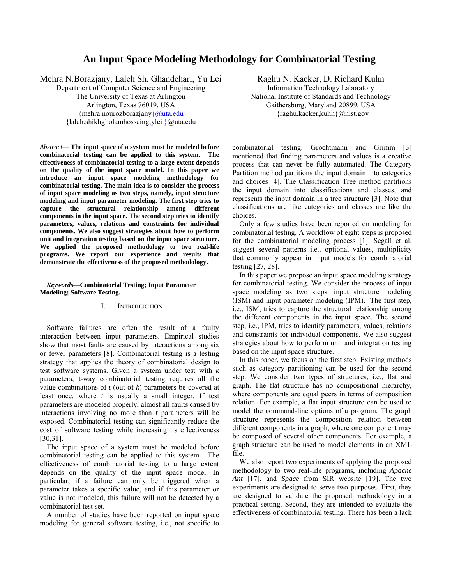# **An Input Space Modeling Methodology for Combinatorial Testing**

Mehra N.Borazjany, Laleh Sh. Ghandehari, Yu Lei Department of Computer Science and Engineering The University of Texas at Arlington Arlington, Texas 76019, USA {mehra.nourozborazjan[y}@uta.edu](mailto:%7d@uta.edu) {laleh.shikhgholamhosseing,ylei }@uta.edu

*Abstract*— **The input space of a system must be modeled before combinatorial testing can be applied to this system. The effectiveness of combinatorial testing to a large extent depends on the quality of the input space model. In this paper we introduce an input space modeling methodology for combinatorial testing. The main idea is to consider the process of input space modeling as two steps, namely, input structure modeling and input parameter modeling. The first step tries to capture the structural relationship among different components in the input space. The second step tries to identify parameters, values, relations and constraints for individual components. We also suggest strategies about how to perform unit and integration testing based on the input space structure. We applied the proposed methodology to two real-life programs. We report our experience and results that demonstrate the effectiveness of the proposed methodology.** 

### *Keywords***—Combinatorial Testing; Input Parameter Modeling; Software Testing.**

#### I. INTRODUCTION

Software failures are often the result of a faulty interaction between input parameters. Empirical studies show that most faults are caused by interactions among six or fewer parameters [8]. Combinatorial testing is a testing strategy that applies the theory of combinatorial design to test software systems. Given a system under test with *k* parameters, t-way combinatorial testing requires all the value combinations of *t* (out of *k*) parameters be covered at least once, where *t* is usually a small integer. If test parameters are modeled properly, almost all faults caused by interactions involving no more than *t* parameters will be exposed. Combinatorial testing can significantly reduce the cost of software testing while increasing its effectiveness [30,31].

The input space of a system must be modeled before combinatorial testing can be applied to this system. The effectiveness of combinatorial testing to a large extent depends on the quality of the input space model. In particular, if a failure can only be triggered when a parameter takes a specific value, and if this parameter or value is not modeled, this failure will not be detected by a combinatorial test set.

A number of studies have been reported on input space modeling for general software testing, i.e., not specific to

Raghu N. Kacker, D. Richard Kuhn Information Technology Laboratory National Institute of Standards and Technology Gaithersburg, Maryland 20899, USA {raghu.kacker,kuhn}@nist.gov

combinatorial testing. Grochtmann and Grimm [3] mentioned that finding parameters and values is a creative process that can never be fully automated. The Category Partition method partitions the input domain into categories and choices [4]. The Classification Tree method partitions the input domain into classifications and classes, and represents the input domain in a tree structure [3]. Note that classifications are like categories and classes are like the choices.

Only a few studies have been reported on modeling for combinatorial testing. A workflow of eight steps is proposed for the combinatorial modeling process [1]. Segall et al. suggest several patterns i.e., optional values, multiplicity that commonly appear in input models for combinatorial testing [27, 28].

In this paper we propose an input space modeling strategy for combinatorial testing. We consider the process of input space modeling as two steps: input structure modeling (ISM) and input parameter modeling (IPM). The first step, i.e., ISM, tries to capture the structural relationship among the different components in the input space. The second step, i.e., IPM, tries to identify parameters, values, relations and constraints for individual components. We also suggest strategies about how to perform unit and integration testing based on the input space structure.

In this paper, we focus on the first step. Existing methods such as category partitioning can be used for the second step. We consider two types of structures, i.e., flat and graph. The flat structure has no compositional hierarchy, where components are equal peers in terms of composition relation. For example, a flat input structure can be used to model the command-line options of a program. The graph structure represents the composition relation between different components in a graph, where one component may be composed of several other components. For example, a graph structure can be used to model elements in an XML file.

We also report two experiments of applying the proposed methodology to two real-life programs, including *Apache Ant* [17], and *Space* from SIR website [19]. The two experiments are designed to serve two purposes. First, they are designed to validate the proposed methodology in a practical setting. Second, they are intended to evaluate the effectiveness of combinatorial testing. There has been a lack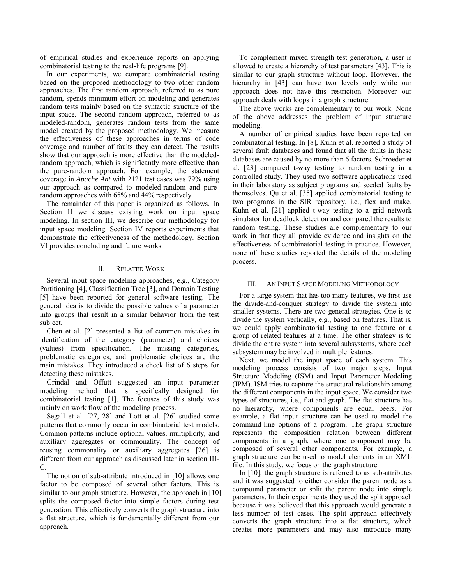of empirical studies and experience reports on applying combinatorial testing to the real-life programs [9].

In our experiments, we compare combinatorial testing based on the proposed methodology to two other random approaches. The first random approach, referred to as pure random, spends minimum effort on modeling and generates random tests mainly based on the syntactic structure of the input space. The second random approach, referred to as modeled-random, generates random tests from the same model created by the proposed methodology. We measure the effectiveness of these approaches in terms of code coverage and number of faults they can detect. The results show that our approach is more effective than the modeledrandom approach, which is significantly more effective than the pure-random approach. For example, the statement coverage in *Apache Ant* with 2121 test cases was 79% using our approach as compared to modeled-random and purerandom approaches with 65% and 44% respectively.

The remainder of this paper is organized as follows. In Section II we discuss existing work on input space modeling. In section III, we describe our methodology for input space modeling. Section IV reports experiments that demonstrate the effectiveness of the methodology. Section VI provides concluding and future works.

#### II. RELATED WORK

Several input space modeling approaches, e.g., Category Partitioning [4], Classification Tree [3], and Domain Testing [5] have been reported for general software testing. The general idea is to divide the possible values of a parameter into groups that result in a similar behavior from the test subject.

Chen et al. [2] presented a list of common mistakes in identification of the category (parameter) and choices (values) from specification. The missing categories, problematic categories, and problematic choices are the main mistakes. They introduced a check list of 6 steps for detecting these mistakes.

Grindal and Offutt suggested an input parameter modeling method that is specifically designed for combinatorial testing [1]. The focuses of this study was mainly on work flow of the modeling process.

Segall et al. [27, 28] and Lott et al. [26] studied some patterns that commonly occur in combinatorial test models. Common patterns include optional values, multiplicity, and auxiliary aggregates or commonality. The concept of reusing commonality or auxiliary aggregates [26] is different from our approach as discussed later in section III-C.

The notion of sub-attribute introduced in [10] allows one factor to be composed of several other factors. This is similar to our graph structure. However, the approach in [10] splits the composed factor into simple factors during test generation. This effectively converts the graph structure into a flat structure, which is fundamentally different from our approach.

To complement mixed-strength test generation, a user is allowed to create a hierarchy of test parameters [43]. This is similar to our graph structure without loop. However, the hierarchy in [43] can have two levels only while our approach does not have this restriction. Moreover our approach deals with loops in a graph structure.

The above works are complementary to our work. None of the above addresses the problem of input structure modeling.

A number of empirical studies have been reported on combinatorial testing. In [8], Kuhn et al. reported a study of several fault databases and found that all the faults in these databases are caused by no more than 6 factors. Schroeder et al. [23] compared t-way testing to random testing in a controlled study. They used two software applications used in their laboratory as subject programs and seeded faults by themselves. Qu et al. [35] applied combinatorial testing to two programs in the SIR repository, i.e., flex and make. Kuhn et al. [21] applied t-way testing to a grid network simulator for deadlock detection and compared the results to random testing. These studies are complementary to our work in that they all provide evidence and insights on the effectiveness of combinatorial testing in practice. However, none of these studies reported the details of the modeling process.

#### III. AN INPUT SAPCE MODELING METHODOLOGY

For a large system that has too many features, we first use the divide-and-conquer strategy to divide the system into smaller systems. There are two general strategies. One is to divide the system vertically, e.g., based on features. That is, we could apply combinatorial testing to one feature or a group of related features at a time. The other strategy is to divide the entire system into several subsystems, where each subsystem may be involved in multiple features.

Next, we model the input space of each system. This modeling process consists of two major steps, Input Structure Modeling (ISM) and Input Parameter Modeling (IPM). ISM tries to capture the structural relationship among the different components in the input space. We consider two types of structures, i.e., flat and graph. The flat structure has no hierarchy, where components are equal peers. For example, a flat input structure can be used to model the command-line options of a program. The graph structure represents the composition relation between different components in a graph, where one component may be composed of several other components. For example, a graph structure can be used to model elements in an XML file. In this study, we focus on the graph structure.

In [10], the graph structure is referred to as sub-attributes and it was suggested to either consider the parent node as a compound parameter or split the parent node into simple parameters. In their experiments they used the split approach because it was believed that this approach would generate a less number of test cases. The split approach effectively converts the graph structure into a flat structure, which creates more parameters and may also introduce many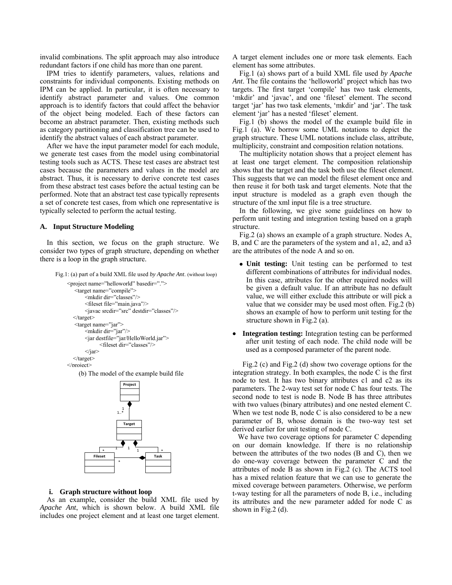invalid combinations. The split approach may also introduce redundant factors if one child has more than one parent.

IPM tries to identify parameters, values, relations and constraints for individual components. Existing methods on IPM can be applied. In particular, it is often necessary to identify abstract parameter and values. One common approach is to identify factors that could affect the behavior of the object being modeled. Each of these factors can become an abstract parameter. Then, existing methods such as category partitioning and classification tree can be used to identify the abstract values of each abstract parameter.

After we have the input parameter model for each module, we generate test cases from the model using combinatorial testing tools such as ACTS. These test cases are abstract test cases because the parameters and values in the model are abstract. Thus, it is necessary to derive concrete test cases from these abstract test cases before the actual testing can be performed. Note that an abstract test case typically represents a set of concrete test cases, from which one representative is typically selected to perform the actual testing.

### **A. Input Structure Modeling**

In this section, we focus on the graph structure. We consider two types of graph structure, depending on whether there is a loop in the graph structure.

```
Fig.1: (a) part of a build XML file used by Apache Ant. (without loop)
```

```
<project name="helloworld" basedir=".">
    <target name="compile">
        <mkdir dir="classes"/>
        <fileset file="main.java"/>
        <javac srcdir="src" destdir="classes"/>
   </target>
    <target name="jar">
        <mkdir dir="jar"/>
        <jar destfile="jar/HelloWorld.jar">
               <fileset dir="classes"/>
       \langleiar> </target>
</project>
```
(b) The model of the example build file



#### **i. Graph structure without loop**

As an example, consider the build XML file used by *Apache Ant*, which is shown below. A build XML file includes one project element and at least one target element. A target element includes one or more task elements. Each element has some attributes.

[Fig.1](#page-2-0) (a) shows part of a build XML file used *by Apache Ant*. The file contains the 'helloworld' project which has two targets. The first target 'compile' has two task elements, 'mkdir' and 'javac', and one 'fileset' element. The second target 'jar' has two task elements, 'mkdir' and 'jar'. The task element 'jar' has a nested 'fileset' element.

[Fig.1](#page-2-0) (b) shows the model of the example build file in [Fig.1](#page-2-0) (a). We borrow some UML notations to depict the graph structure. These UML notations include class, attribute, multiplicity, constraint and composition relation notations.

The multiplicity notation shows that a project element has at least one target element. The composition relationship shows that the target and the task both use the fileset element. This suggests that we can model the fileset element once and then reuse it for both task and target elements. Note that the input structure is modeled as a graph even though the structure of the xml input file is a tree structure.

In the following, we give some guidelines on how to perform unit testing and integration testing based on a graph structure.

[Fig.2](#page-3-0) (a) shows an example of a graph structure. Nodes A, B, and C are the parameters of the system and a1, a2, and a3 are the attributes of the node A and so on.

- **Unit testing:** Unit testing can be performed to test different combinations of attributes for individual nodes. In this case, attributes for the other required nodes will be given a default value. If an attribute has no default value, we will either exclude this attribute or will pick a value that we consider may be used most often. [Fig.2](#page-3-0) (b) shows an example of how to perform unit testing for the structure shown in [Fig.2](#page-3-0) (a).
- **Integration testing:** Integration testing can be performed after unit testing of each node. The child node will be used as a composed parameter of the parent node.

[Fig.2](#page-3-0) (c) an[d Fig.2](#page-3-0) (d) show two coverage options for the integration strategy. In both examples, the node C is the first node to test. It has two binary attributes c1 and c2 as its parameters. The 2-way test set for node C has four tests. The second node to test is node B. Node B has three attributes with two values (binary attributes) and one nested element C. When we test node B, node C is also considered to be a new parameter of B, whose domain is the two-way test set derived earlier for unit testing of node C.

We have two coverage options for parameter C depending on our domain knowledge. If there is no relationship between the attributes of the two nodes (B and C), then we do one-way coverage between the parameter C and the attributes of node B as shown in [Fig.2](#page-3-0) (c). The ACTS tool has a mixed relation feature that we can use to generate the mixed coverage between parameters. Otherwise, we perform t-way testing for all the parameters of node B, i.e., including its attributes and the new parameter added for node C as shown i[n Fig.2](#page-3-0) (d).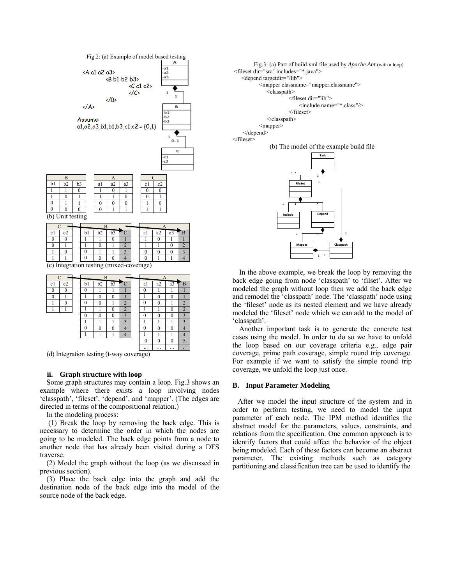<span id="page-3-0"></span>

(d) Integration testing (t-way coverage)

#### **ii. Graph structure with loop**

Some graph structures may contain a loop[. Fig.3](#page-3-1) shows an example where there exists a loop involving nodes 'classpath', 'fileset', 'depend', and 'mapper'. (The edges are directed in terms of the compositional relation.)

In the modeling process:

 (1) Break the loop by removing the back edge. This is necessary to determine the order in which the nodes are going to be modeled. The back edge points from a node to another node that has already been visited during a DFS traverse.

(2) Model the graph without the loop (as we discussed in previous section).

(3) Place the back edge into the graph and add the destination node of the back edge into the model of the source node of the back edge.

<span id="page-3-1"></span>

In the above example, we break the loop by removing the back edge going from node 'classpath' to 'filset'. After we modeled the graph without loop then we add the back edge and remodel the 'classpath' node. The 'classpath' node using the 'fileset' node as its nested element and we have already modeled the 'fileset' node which we can add to the model of 'classpath'.

Another important task is to generate the concrete test cases using the model. In order to do so we have to unfold the loop based on our coverage criteria e.g., edge pair coverage, prime path coverage, simple round trip coverage. For example if we want to satisfy the simple round trip coverage, we unfold the loop just once.

#### **B. Input Parameter Modeling**

After we model the input structure of the system and in order to perform testing, we need to model the input parameter of each node. The IPM method identifies the abstract model for the parameters, values, constraints, and relations from the specification. One common approach is to identify factors that could affect the behavior of the object being modeled. Each of these factors can become an abstract parameter. The existing methods such as category partitioning and classification tree can be used to identify the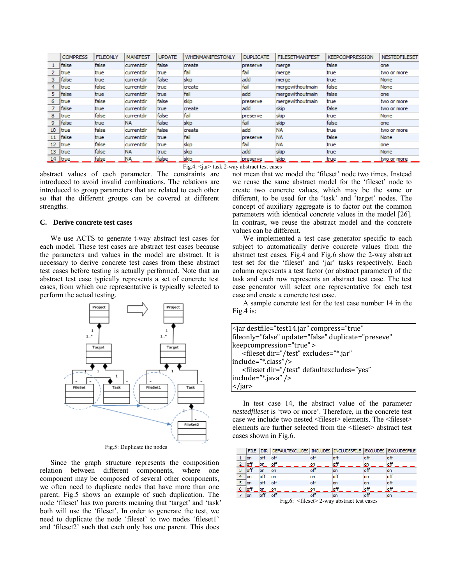|                | <b>COMPRESS</b> | <b>FILEONLY</b> | <b>MANIFEST</b> | <b>UPDATE</b> | <b>WHENMANIFESTONLY</b> | <b>DUPLICATE</b> | <b>FILESETMANIFEST</b> | <b>KEEPCOMPRESSION</b> | NESTEDFILESET |  |
|----------------|-----------------|-----------------|-----------------|---------------|-------------------------|------------------|------------------------|------------------------|---------------|--|
|                | false           | false           | currentdir      | false         | create                  | preserve         | merge                  | false                  | lone          |  |
| $\overline{2}$ | true            | true            | currentdir      | true          | fail                    | fail             | merge                  | true                   | two or more   |  |
| 3              | false           | true            | currentdir      | false         | skip                    | add              | merge                  | true                   | None          |  |
| 4              | true            | false           | currentdir      | true          | create                  | fail             | mergewithoutmain       | false                  | None          |  |
| 5.             | false           | true            | currentdir      | true          | fail                    | add              | mergewithoutmain       | false                  | lone          |  |
| 6              | true            | false           | currentdir      | false         | skip                    | preserve         | mergewithoutmain       | true                   | two or more   |  |
| 7              | false           | true            | currentdir      | true          | create                  | add              | skip                   | false                  | two or more   |  |
| 8              | true            | false           | currentdir      | false         | fail                    | preserve         | skip                   | true                   | None          |  |
| 9              | false           | true            | <b>NA</b>       | false         | skip                    | fail             | skip                   | false                  | lone          |  |
| 10             | true            | false           | currentdir      | false         | create                  | add              | <b>NA</b>              | true                   | two or more   |  |
| 11             | false           | true            | currentdir      | true          | fail                    | preserve         | <b>NA</b>              | false                  | None          |  |
| 12             | <b>Itrue</b>    | false           | currentdir      | true          | skip                    | fail             | <b>NA</b>              | true                   | one           |  |
| 13             | Itrue           | false           | <b>NA</b>       | true          | skip                    | add              | skip                   | true                   | None          |  |
|                | $14$ true       | false           | ΝA              | false         | skip.                   | preserve         | skip                   | true                   | two or more   |  |

Fig.4: <jar> task 2-way abstract test cases

<span id="page-4-1"></span>abstract values of each parameter. The constraints are introduced to avoid invalid combinations. The relations are introduced to group parameters that are related to each other so that the different groups can be covered at different strengths.

### **C. Derive concrete test cases**

We use ACTS to generate t-way abstract test cases for each model. These test cases are abstract test cases because the parameters and values in the model are abstract. It is necessary to derive concrete test cases from these abstract test cases before testing is actually performed. Note that an abstract test case typically represents a set of concrete test cases, from which one representative is typically selected to perform the actual testing.



<span id="page-4-0"></span>Since the graph structure represents the composition relation between different components, where one component may be composed of several other components, we often need to duplicate nodes that have more than one parent. [Fig.5](#page-4-0) shows an example of such duplication. The node 'fileset' has two parents meaning that 'target' and 'task' both will use the 'fileset'. In order to generate the test, we need to duplicate the node 'fileset' to two nodes 'fileset1' and 'fileset2' such that each only has one parent. This does

not mean that we model the 'fileset' node two times. Instead we reuse the same abstract model for the 'fileset' node to create two concrete values, which may be the same or different, to be used for the 'task' and 'target' nodes. The concept of auxiliary aggregate is to factor out the common parameters with identical concrete values in the model [26]. In contrast, we reuse the abstract model and the concrete values can be different.

We implemented a test case generator specific to each subject to automatically derive concrete values from the abstract test cases. [Fig.4](#page-4-1) and [Fig.6](#page-4-2) show the 2-way abstract test set for the 'fileset' and 'jar' tasks respectively. Each column represents a test factor (or abstract parameter) of the task and each row represents an abstract test case. The test case generator will select one representative for each test case and create a concrete test case.

A sample concrete test for the test case number 14 in the [Fig.4](#page-4-1) is:

| <jar <="" compress="true" destfile="test14.jar" th=""></jar>     |
|------------------------------------------------------------------|
| fileonly="false" update="false" duplicate="preseve"              |
| keepcompression="true" >                                         |
| <fileset <="" dir="/test" excludes="*.jar" th=""></fileset>      |
| $ include="r" * class"$                                          |
| <fileset <="" defaultexcludes="yes" dir="/test" th=""></fileset> |
| $ include="r" *   java" /$                                       |
| $\frac{1}{2}$ /jar>                                              |

In test case 14, the abstract value of the parameter *nestedfileset* is 'two or more'. Therefore, in the concrete test case we include two nested <fileset> elements. The <fileset> elements are further selected from the <fileset> abstract test cases shown i[n Fig.6.](#page-4-2) 

<span id="page-4-2"></span>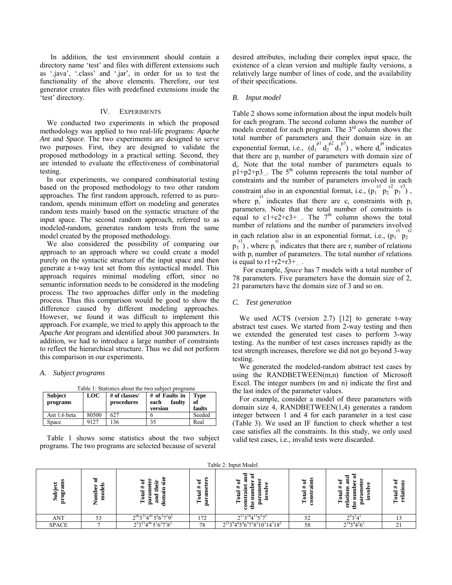In addition, the test environment should contain a directory name 'test' and files with different extensions such as '.java', '.class' and '.jar', in order for us to test the functionality of the above elements. Therefore, our test generator creates files with predefined extensions inside the 'test' directory.

### IV. EXPERIMENTS

We conducted two experiments in which the proposed methodology was applied to two real-life programs: *Apache Ant* and *Space*. The two experiments are designed to serve two purposes. First, they are designed to validate the proposed methodology in a practical setting. Second, they are intended to evaluate the effectiveness of combinatorial testing.

In our experiments, we compared combinatorial testing based on the proposed methodology to two other random approaches. The first random approach, referred to as purerandom, spends minimum effort on modeling and generates random tests mainly based on the syntactic structure of the input space. The second random approach, referred to as modeled-random, generates random tests from the same model created by the proposed methodology.

We also considered the possibility of comparing our approach to an approach where we could create a model purely on the syntactic structure of the input space and then generate a t-way test set from this syntactical model. This approach requires minimal modeling effort, since no semantic information needs to be considered in the modeling process. The two approaches differ only in the modeling process. Thus this comparison would be good to show the difference caused by different modeling approaches. However, we found it was difficult to implement this approach. For example, we tried to apply this approach to the *Apache Ant* program and identified about 300 parameters. In addition, we had to introduce a large number of constraints to reflect the hierarchical structure. Thus we did not perform this comparison in our experiments.

#### *A. Subject programs*

<span id="page-5-0"></span>

| Table 1: Statistics about the two subject programs |            |                             |                                             |                             |  |  |  |
|----------------------------------------------------|------------|-----------------------------|---------------------------------------------|-----------------------------|--|--|--|
| Subject<br>programs                                | <b>LOC</b> | # of classes/<br>procedures | # of Faults in<br>faulty<br>each<br>version | <b>Type</b><br>of<br>faults |  |  |  |
| Ant 1.6 beta                                       | 80500      | 627                         |                                             | Seeded                      |  |  |  |
| Space                                              | 9127       | 36                          | 35                                          | Real                        |  |  |  |

[Table 1](#page-5-0) shows some statistics about the two subject programs. The two programs are selected because of several

desired attributes, including their complex input space, the existence of a clean version and multiple faulty versions, a relatively large number of lines of code, and the availability of their specifications.

# *B. Input model*

[Table 2](#page-5-1) shows some information about the input models built for each program. The second column shows the number of models created for each program. The 3<sup>rd</sup> column shows the total number of parameters and their domain size in an exponential format, i.e.,  $(d_1^{pl} d_2^{pl} d_3^{pl})$ , where  $d_i^{pl}$  indicates that there are  $p_i$  number of parameters with domain size of di . Note that the total number of parameters equals to  $p1+p2+p3$ ... The 5<sup>th</sup> column represents the total number of constraints and the number of parameters involved in each constraint also in an exponential format, i.e.,  $(p_1^{c_1} p_2^{c_2} p_3^{c_3})$ , where  $p_i^{\text{ci}}$  indicates that there are  $c_i$  constraints with  $p_i$ parameters. Note that the total number of constraints is equal to  $c1+c2+c3+...$ . The  $7<sup>th</sup>$  column shows the total number of relations and the number of parameters involved in each relation also in an exponential format, i.e.,  $(p_1^{r_1} p_2^{r_2})$  $p_3^{r_3}$ ), where  $p_i^{r_i}$  indicates that there are  $r_i$  number of relations with  $p_i$  number of parameters. The total number of relations is equal to  $r1+r2+r3+...$ .

For example, *Space* has 7 models with a total number of 78 parameters. Five parameters have the domain size of 2, 21 parameters have the domain size of 3 and so on.

#### *C. Test generation*

We used ACTS (version 2.7) [12] to generate t-way abstract test cases. We started from 2-way testing and then we extended the generated test cases to perform 3-way testing. As the number of test cases increases rapidly as the test strength increases, therefore we did not go beyond 3-way testing.

We generated the modeled-random abstract test cases by using the RANDBETWEEN(m,n) function of Microsoft Excel. The integer numbers (m and n) indicate the first and the last index of the parameter values.

For example, consider a model of three parameters with domain size 4, RANDBETWEEN(1,4) generates a random integer between 1 and 4 for each parameter in a test case [\(Table 3\)](#page-6-0). We used an IF function to check whether a test case satisfies all the constraints. In this study, we only used valid test cases, i.e., invalid tests were discarded.

<span id="page-5-1"></span>

|                                                 |                                           |                                                                                               |                                                              | Table 2: Input Model                                                                       |                                            |                                                                                 |                                          |
|-------------------------------------------------|-------------------------------------------|-----------------------------------------------------------------------------------------------|--------------------------------------------------------------|--------------------------------------------------------------------------------------------|--------------------------------------------|---------------------------------------------------------------------------------|------------------------------------------|
| v.<br>Ε<br>ಕ<br>ದ<br>Subje<br>н<br>go<br>O<br>힘 | ↬<br>ತ<br>ь<br>ರ<br>Ē<br>ã<br>Е<br>∽<br>∼ | ัธ<br>붑<br>.≒<br>÷<br>ά<br>#<br>Ξ<br>œ<br>ನ<br>w<br>ದಾ<br>ᇢ<br>ಕ<br>dom<br>par<br>⋴<br>ದ<br>⊨ | u<br>ัธ<br>ω<br>#<br>n.<br>Ξ<br>-<br>$\alpha$<br>٥<br>−<br>≏ | ᇦ<br>∼<br>#<br>ಡ<br>ā<br>hщ<br>G,<br>ā<br>.Ξ<br>٥<br>ەن<br>►<br>с<br>ω<br>o<br>c<br>€<br>ಲ | ť<br>ัธ<br>#<br>ನ<br>€<br>ಕ<br>ε<br>⊨<br>g | ۵<br>α<br>#<br>c<br>Ē<br>⊷<br>ದ<br>٥<br>≏<br>$\overline{\mathbf{c}}$<br>€<br>ъ. | ัธ<br>s<br>#<br>c<br>otal<br>ಡ<br>Ē<br>⊨ |
| ANT                                             | 53                                        | $2^{96}3^{21}4^{45}5^66^{\overline{27^{1}Q^{2}}}$                                             | 77<br>1/2                                                    | $2^{11}3^{18}4^{13}5^{5}7^5$                                                               | 50<br>ے ر                                  | $2^{9}3^{3}4$                                                                   |                                          |
| <b>SPACE</b>                                    |                                           | $2^{5}3^{21}4^{46}5^{1}6^{2}7^{1}8^{2}$                                                       | 78                                                           | $2^{21}3^94^85^46^37^18^210^114^718^2$                                                     | 58                                         | $2^{14}3^44^26$                                                                 | $^{\sim}$ 1<br>41                        |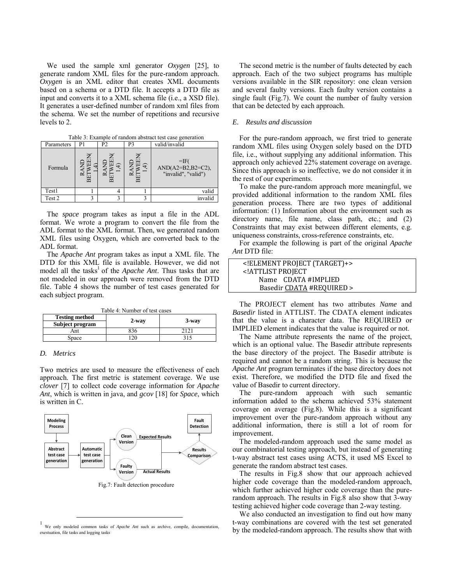We used the sample xml generator *Oxygen* [25], to generate random XML files for the pure-random approach. *Oxygen* is an XML editor that creates XML documents based on a schema or a DTD file. It accepts a DTD file as input and converts it to a XML schema file (i.e., a XSD file). It generates a user-defined number of random xml files from the schema. We set the number of repetitions and recursive levels to 2.

<span id="page-6-0"></span>

| Table 5. Example of fandom abstract lest case generation |    |           |                                                           |  |  |  |  |  |  |
|----------------------------------------------------------|----|-----------|-----------------------------------------------------------|--|--|--|--|--|--|
|                                                          | P2 | P3        | valid/invalid                                             |  |  |  |  |  |  |
|                                                          |    | $\dot{A}$ | $=$ IF $($<br>$AND(A2=B2,B2=C2)$ ,<br>"invalid", "valid") |  |  |  |  |  |  |
|                                                          |    |           | valid                                                     |  |  |  |  |  |  |
|                                                          |    |           | invalid                                                   |  |  |  |  |  |  |
|                                                          |    |           | $\mathcal{A}$                                             |  |  |  |  |  |  |

Table 3: Example of random abstract test case generation

The *space* program takes as input a file in the ADL format. We wrote a program to convert the file from the ADL format to the XML format. Then, we generated random XML files using Oxygen, which are converted back to the ADL format.

The *Apache Ant* program takes as input a XML file. The DTD for this XML file is available. However, we did not model all the tasks<sup>1</sup> of the *Apache Ant*. Thus tasks that are not modeled in our approach were removed from the DTD file. [Table 4](#page-6-1) shows the number of test cases generated for each subject program.

Table 4: Number of test cases

<span id="page-6-1"></span>

| <b>Testing method</b><br>Subject program | 2-way | $3$ -way |
|------------------------------------------|-------|----------|
| Ant                                      |       |          |
| Space                                    |       |          |

## *D. Metrics*

 $\overline{a}$ 

Two metrics are used to measure the effectiveness of each approach. The first metric is statement coverage. We use *clover* [7] to collect code coverage information for *Apache Ant*, which is written in java, and *gcov* [18] for *Space*, which is written in C.



<span id="page-6-2"></span>1 We only modeled common tasks of *Apache Ant* such as archive, compile, documentation, exestuation, file tasks and logging tasks

The second metric is the number of faults detected by each approach. Each of the two subject programs has multiple versions available in the SIR repository: one clean version and several faulty versions. Each faulty version contains a single fault [\(Fig.7\)](#page-6-2). We count the number of faulty version that can be detected by each approach.

#### *E. Results and discussion*

For the pure-random approach, we first tried to generate random XML files using Oxygen solely based on the DTD file, i.e., without supplying any additional information. This approach only achieved 22% statement coverage on average. Since this approach is so ineffective, we do not consider it in the rest of our experiments.

To make the pure-random approach more meaningful, we provided additional information to the random XML files generation process. There are two types of additional information: (1) Information about the environment such as directory name, file name, class path, etc.; and (2) Constraints that may exist between different elements, e.g. uniqueness constraints, cross-reference constraints, etc.

For example the following is part of the original *Apache Ant* DTD file:

| ELEMENT PROJECT (TARGET)+     |  |  |  |  |  |
|-------------------------------|--|--|--|--|--|
| ATTLIST PROJECT</td <td></td> |  |  |  |  |  |
| Name CDATA #IMPLIED           |  |  |  |  |  |
| Basedir CDATA #REQUIRED >     |  |  |  |  |  |

The PROJECT element has two attributes *Name* and *Basedir* listed in ATTLIST. The CDATA element indicates that the value is a character data. The REQUIRED or IMPLIED element indicates that the value is required or not.

The Name attribute represents the name of the project, which is an optional value. The Basedir attribute represents the base directory of the project. The Basedir attribute is required and cannot be a random string. This is because the *Apache Ant* program terminates if the base directory does not exist. Therefore, we modified the DTD file and fixed the value of Basedir to current directory.

The pure-random approach with such semantic information added to the schema achieved 53% statement coverage on average [\(Fig.8\)](#page-7-0). While this is a significant improvement over the pure-random approach without any additional information, there is still a lot of room for improvement.

The modeled-random approach used the same model as our combinatorial testing approach, but instead of generating t-way abstract test cases using ACTS, it used MS Excel to generate the random abstract test cases.

The results in [Fig.8](#page-7-0) show that our approach achieved higher code coverage than the modeled-random approach, which further achieved higher code coverage than the purerandom approach. The results in [Fig.8](#page-7-0) also show that 3-way testing achieved higher code coverage than 2-way testing.

We also conducted an investigation to find out how many t-way combinations are covered with the test set generated by the modeled-random approach. The results show that with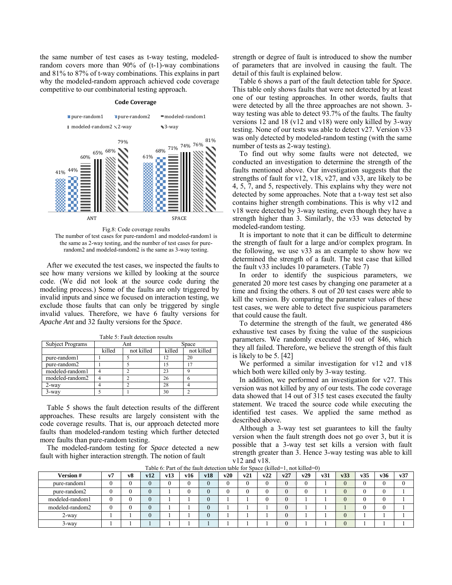the same number of test cases as t-way testing, modeledrandom covers more than 90% of (t-1)-way combinations and 81% to 87% of t-way combinations. This explains in part why the modeled-random approach achieved code coverage competitive to our combinatorial testing approach.

#### **Code Coverage**



<span id="page-7-0"></span>random2 and modeled-random2 is the same as 3-way testing.

After we executed the test cases, we inspected the faults to see how many versions we killed by looking at the source code. (We did not look at the source code during the modeling process.) Some of the faults are only triggered by invalid inputs and since we focused on interaction testing, we exclude those faults that can only be triggered by single invalid values. Therefore, we have 6 faulty versions for *Apache Ant* and 32 faulty versions for the *Space*.

<span id="page-7-1"></span>

| Table 5: Fault detection results |                      |     |        |            |  |  |  |  |
|----------------------------------|----------------------|-----|--------|------------|--|--|--|--|
| Subject Programs                 |                      | Ant | Space  |            |  |  |  |  |
|                                  | killed<br>not killed |     | killed | not killed |  |  |  |  |
| pure-random1                     |                      |     | 12     | 20         |  |  |  |  |
| pure-random2                     |                      |     | ۱٢     |            |  |  |  |  |
| modeled-random1                  |                      |     | つっ     |            |  |  |  |  |
| modeled-random2                  |                      |     | 26     |            |  |  |  |  |
| 2-way                            |                      |     | 28     |            |  |  |  |  |
| 3-way                            |                      |     | 30     |            |  |  |  |  |

 $T = T - T$ 

[Table 5](#page-7-1) shows the fault detection results of the different approaches. These results are largely consistent with the code coverage results. That is, our approach detected more faults than modeled-random testing which further detected more faults than pure-random testing.

The modeled-random testing for *Space* detected a new fault with higher interaction strength. The notion of fault

strength or degree of fault is introduced to show the number of parameters that are involved in causing the fault. The detail of this fault is explained below.

[Table 6](#page-7-2) shows a part of the fault detection table for *Space*. This table only shows faults that were not detected by at least one of our testing approaches. In other words, faults that were detected by all the three approaches are not shown. 3 way testing was able to detect 93.7% of the faults. The faulty versions 12 and 18 (v12 and v18) were only killed by 3-way testing. None of our tests was able to detect v27. Version v33 was only detected by modeled-random testing (with the same number of tests as 2-way testing).

To find out why some faults were not detected, we conducted an investigation to determine the strength of the faults mentioned above. Our investigation suggests that the strengths of fault for v12, v18, v27, and v33, are likely to be 4, 5, 7, and 5, respectively. This explains why they were not detected by some approaches. Note that a t-way test set also contains higher strength combinations. This is why v12 and v18 were detected by 3-way testing, even though they have a strength higher than 3. Similarly, the v33 was detected by modeled-random testing.

It is important to note that it can be difficult to determine the strength of fault for a large and/or complex program. In the following, we use v33 as an example to show how we determined the strength of a fault. The test case that killed the fault v33 includes 10 parameters. [\(Table 7\)](#page-8-0)

In order to identify the suspicious parameters, we generated 20 more test cases by changing one parameter at a time and fixing the others. 8 out of 20 test cases were able to kill the version. By comparing the parameter values of these test cases, we were able to detect five suspicious parameters that could cause the fault.

To determine the strength of the fault, we generated 486 exhaustive test cases by fixing the value of the suspicious parameters. We randomly executed 10 out of 846, which they all failed. Therefore, we believe the strength of this fault is likely to be 5. [42]

We performed a similar investigation for v12 and v18 which both were killed only by 3-way testing.

In addition, we performed an investigation for  $v27$ . This version was not killed by any of our tests. The code coverage data showed that 14 out of 315 test cases executed the faulty statement. We traced the source code while executing the identified test cases. We applied the same method as described above.

Although a 3-way test set guarantees to kill the faulty version when the fault strength does not go over 3, but it is possible that a 3-way test set kills a version with fault strength greater than 3. Hence 3-way testing was able to kill v12 and v18.

<span id="page-7-2"></span>

| Tuble 0. I are of the hand actection mole for space (hined it, not hined to |    |    |     |     |     |     |     |     |     |     |     |     |     |     |     |     |
|-----------------------------------------------------------------------------|----|----|-----|-----|-----|-----|-----|-----|-----|-----|-----|-----|-----|-----|-----|-----|
| <b>Version</b> #                                                            | v. | v8 | v12 | v13 | v16 | v18 | v20 | v21 | v22 | v27 | v29 | v31 | v33 | v35 | v36 | v37 |
| pure-random l                                                               |    |    |     |     |     |     |     |     |     |     |     |     |     |     |     |     |
| pure-random2                                                                |    |    |     |     |     |     |     |     |     |     |     |     |     |     |     |     |
| modeled-random1                                                             |    |    |     |     |     |     |     |     |     |     |     |     |     |     |     |     |
| modeled-random2                                                             |    |    |     |     |     |     |     |     |     |     |     |     |     |     |     |     |
| 2-way                                                                       |    |    |     |     |     |     |     |     |     |     |     |     |     |     |     |     |
| $3$ -way                                                                    |    |    |     |     |     |     |     |     |     |     |     |     |     |     |     |     |

Table 6: Part of the fault detection table for Space (killed=1, not killed=0)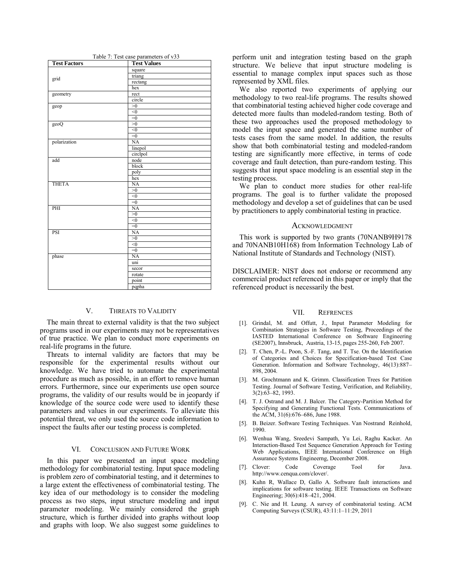<span id="page-8-0"></span>

|                     | Table 7: Test case parameters of v33 |
|---------------------|--------------------------------------|
| <b>Test Factors</b> | <b>Test Values</b>                   |
|                     | square                               |
| grid                | triang                               |
|                     | rectang                              |
|                     | hex                                  |
| geometry            | rect                                 |
|                     | circle                               |
| geop                | >0                                   |
|                     | $\leq 0$                             |
|                     | $=0$                                 |
| geoQ                | >0                                   |
|                     | < 0                                  |
|                     | $=0$                                 |
| polarization        | NA                                   |
|                     | linepol                              |
|                     | circlpol                             |
| add                 | node                                 |
|                     | block                                |
|                     | poly                                 |
|                     | hex                                  |
| <b>THETA</b>        | <b>NA</b>                            |
|                     | >0                                   |
|                     | < 0                                  |
|                     | $=0$                                 |
| PHI                 | <b>NA</b>                            |
|                     | >0                                   |
|                     | < 0                                  |
|                     | $= 0$                                |
| PSI                 | <b>NA</b>                            |
|                     | >0                                   |
|                     | < 0                                  |
|                     | $=0$                                 |
| phase               | NA                                   |
|                     | uni                                  |
|                     | secor                                |
|                     | rotate                               |
|                     | point                                |
|                     | pqpha                                |
|                     |                                      |

# V. THREATS TO VALIDITY

The main threat to external validity is that the two subject programs used in our experiments may not be representatives of true practice. We plan to conduct more experiments on real-life programs in the future.

Threats to internal validity are factors that may be responsible for the experimental results without our knowledge. We have tried to automate the experimental procedure as much as possible, in an effort to remove human errors. Furthermore, since our experiments use open source programs, the validity of our results would be in jeopardy if knowledge of the source code were used to identify these parameters and values in our experiments. To alleviate this potential threat, we only used the source code information to inspect the faults after our testing process is completed.

#### VI. CONCLUSION AND FUTURE WORK

In this paper we presented an input space modeling methodology for combinatorial testing. Input space modeling is problem zero of combinatorial testing, and it determines to a large extent the effectiveness of combinatorial testing. The key idea of our methodology is to consider the modeling process as two steps, input structure modeling and input parameter modeling. We mainly considered the graph structure, which is further divided into graphs without loop and graphs with loop. We also suggest some guidelines to

perform unit and integration testing based on the graph structure. We believe that input structure modeling is essential to manage complex input spaces such as those represented by XML files.

We also reported two experiments of applying our methodology to two real-life programs. The results showed that combinatorial testing achieved higher code coverage and detected more faults than modeled-random testing. Both of these two approaches used the proposed methodology to model the input space and generated the same number of tests cases from the same model. In addition, the results show that both combinatorial testing and modeled-random testing are significantly more effective, in terms of code coverage and fault detection, than pure-random testing. This suggests that input space modeling is an essential step in the testing process.

We plan to conduct more studies for other real-life programs. The goal is to further validate the proposed methodology and develop a set of guidelines that can be used by practitioners to apply combinatorial testing in practice.

#### **ACKNOWLEDGMENT**

This work is supported by two grants (70NANB9H9178 and 70NANB10H168) from Information Technology Lab of National Institute of Standards and Technology (NIST).

DISCLAIMER: NIST does not endorse or recommend any commercial product referenced in this paper or imply that the referenced product is necessarily the best.

#### VII. REFRENCES

- [1]. Grindal, M. and Offutt, J., Input Parameter Modeling for Combination Strategies in Software Testing, Proceedings of the IASTED International Conference on Software Engineering (SE2007), Innsbruck, Austria, 13-15, pages 255-260, Feb 2007.
- [2]. T. Chen, P.-L. Poon, S.-F. Tang, and T. Tse. On the Identification of Categories and Choices for Specification-based Test Case Generation. Information and Software Technology, 46(13):887– 898, 2004.
- [3]. M. Grochtmann and K. Grimm. Classification Trees for Partition Testing. Journal of Software Testing, Verification, and Reliability, 3(2):63–82, 1993.
- [4]. T. J. Ostrand and M. J. Balcer. The Category-Partition Method for Specifying and Generating Functional Tests. Communications of the ACM, 31(6):676–686, June 1988.
- [5]. B. Beizer. Software Testing Techniques. Van Nostrand Reinhold, 1990.
- [6]. Wenhua Wang, Sreedevi Sampath, Yu Lei, Raghu Kacker. An Interaction-Based Test Sequence Generation Approach for Testing Web Applications, IEEE International Conference on High Assurance Systems Engineerng, December 2008.
- [7]. Clover: Code Coverage Tool for Java. http://www.cenqua.com/clover/.
- [8]. Kuhn R, Wallace D, Gallo A. Software fault interactions and implications for software testing. IEEE Transactions on Software Engineering; 30(6):418–421, 2004.
- [9]. C. Nie and H. Leung. A survey of combinatorial testing. ACM Computing Surveys (CSUR), 43:11:1–11:29, 2011